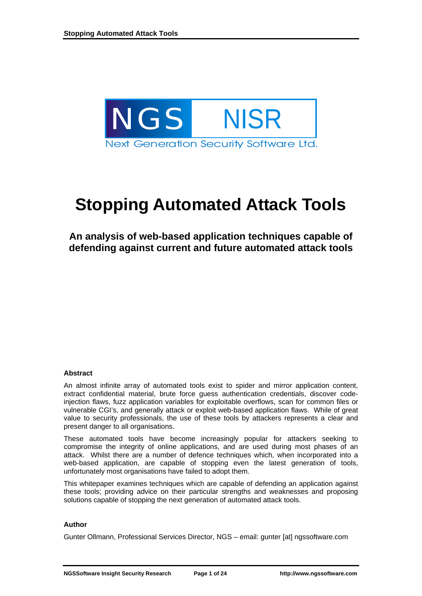

# **Stopping Automated Attack Tools**

**An analysis of web-based application techniques capable of defending against current and future automated attack tools** 

#### **Abstract**

An almost infinite array of automated tools exist to spider and mirror application content, extract confidential material, brute force guess authentication credentials, discover codeinjection flaws, fuzz application variables for exploitable overflows, scan for common files or vulnerable CGI's, and generally attack or exploit web-based application flaws. While of great value to security professionals, the use of these tools by attackers represents a clear and present danger to all organisations.

These automated tools have become increasingly popular for attackers seeking to compromise the integrity of online applications, and are used during most phases of an attack. Whilst there are a number of defence techniques which, when incorporated into a web-based application, are capable of stopping even the latest generation of tools, unfortunately most organisations have failed to adopt them.

This whitepaper examines techniques which are capable of defending an application against these tools; providing advice on their particular strengths and weaknesses and proposing solutions capable of stopping the next generation of automated attack tools.

#### **Author**

Gunter Ollmann, Professional Services Director, NGS – email: gunter [at] ngssoftware.com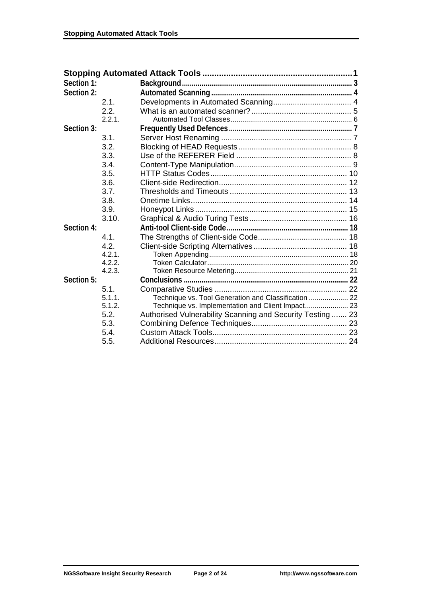| Section 1: |        |                                                            |  |
|------------|--------|------------------------------------------------------------|--|
| Section 2: |        |                                                            |  |
|            | 2.1.   |                                                            |  |
|            | 2.2.   |                                                            |  |
|            | 2.2.1. |                                                            |  |
| Section 3: |        |                                                            |  |
|            | 3.1.   |                                                            |  |
|            | 3.2.   |                                                            |  |
|            | 3.3.   |                                                            |  |
|            | 3.4.   |                                                            |  |
|            | 3.5.   |                                                            |  |
|            | 3.6.   |                                                            |  |
|            | 3.7.   |                                                            |  |
|            | 3.8.   |                                                            |  |
|            | 3.9.   |                                                            |  |
|            | 3.10.  |                                                            |  |
| Section 4: |        |                                                            |  |
|            | 4.1.   |                                                            |  |
|            | 4.2.   |                                                            |  |
|            | 4.2.1. |                                                            |  |
|            | 4.2.2. |                                                            |  |
|            | 4.2.3. |                                                            |  |
| Section 5: |        |                                                            |  |
|            | 5.1.   |                                                            |  |
|            | 5.1.1. | Technique vs. Tool Generation and Classification  22       |  |
|            | 5.1.2. | Technique vs. Implementation and Client Impact 23          |  |
|            | 5.2.   | Authorised Vulnerability Scanning and Security Testing  23 |  |
|            | 5.3.   |                                                            |  |
|            | 5.4.   |                                                            |  |
|            | 5.5.   |                                                            |  |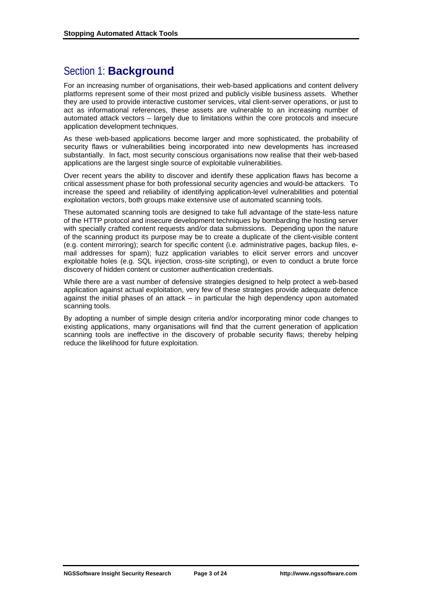## Section 1: **Background**

For an increasing number of organisations, their web-based applications and content delivery platforms represent some of their most prized and publicly visible business assets. Whether they are used to provide interactive customer services, vital client-server operations, or just to act as informational references, these assets are vulnerable to an increasing number of automated attack vectors – largely due to limitations within the core protocols and insecure application development techniques.

As these web-based applications become larger and more sophisticated, the probability of security flaws or vulnerabilities being incorporated into new developments has increased substantially. In fact, most security conscious organisations now realise that their web-based applications are the largest single source of exploitable vulnerabilities.

Over recent years the ability to discover and identify these application flaws has become a critical assessment phase for both professional security agencies and would-be attackers. To increase the speed and reliability of identifying application-level vulnerabilities and potential exploitation vectors, both groups make extensive use of automated scanning tools.

These automated scanning tools are designed to take full advantage of the state-less nature of the HTTP protocol and insecure development techniques by bombarding the hosting server with specially crafted content requests and/or data submissions. Depending upon the nature of the scanning product its purpose may be to create a duplicate of the client-visible content (e.g. content mirroring); search for specific content (i.e. administrative pages, backup files, email addresses for spam); fuzz application variables to elicit server errors and uncover exploitable holes (e.g. SQL injection, cross-site scripting), or even to conduct a brute force discovery of hidden content or customer authentication credentials.

While there are a vast number of defensive strategies designed to help protect a web-based application against actual exploitation, very few of these strategies provide adequate defence against the initial phases of an attack – in particular the high dependency upon automated scanning tools.

By adopting a number of simple design criteria and/or incorporating minor code changes to existing applications, many organisations will find that the current generation of application scanning tools are ineffective in the discovery of probable security flaws; thereby helping reduce the likelihood for future exploitation.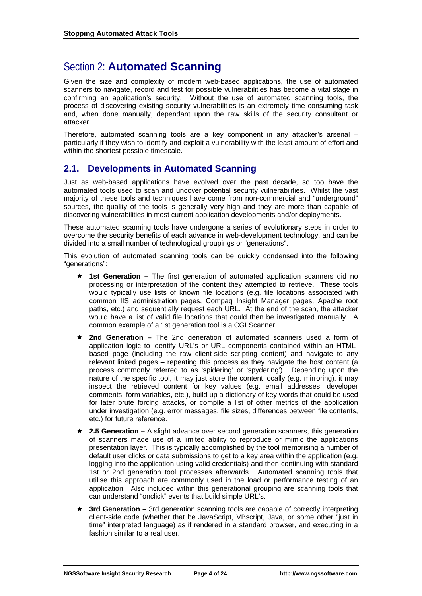## Section 2: **Automated Scanning**

Given the size and complexity of modern web-based applications, the use of automated scanners to navigate, record and test for possible vulnerabilities has become a vital stage in confirming an application's security. Without the use of automated scanning tools, the process of discovering existing security vulnerabilities is an extremely time consuming task and, when done manually, dependant upon the raw skills of the security consultant or attacker.

Therefore, automated scanning tools are a key component in any attacker's arsenal – particularly if they wish to identify and exploit a vulnerability with the least amount of effort and within the shortest possible timescale.

## **2.1. Developments in Automated Scanning**

Just as web-based applications have evolved over the past decade, so too have the automated tools used to scan and uncover potential security vulnerabilities. Whilst the vast majority of these tools and techniques have come from non-commercial and "underground" sources, the quality of the tools is generally very high and they are more than capable of discovering vulnerabilities in most current application developments and/or deployments.

These automated scanning tools have undergone a series of evolutionary steps in order to overcome the security benefits of each advance in web-development technology, and can be divided into a small number of technological groupings or "generations".

This evolution of automated scanning tools can be quickly condensed into the following "generations":

- **1st Generation –** The first generation of automated application scanners did no processing or interpretation of the content they attempted to retrieve. These tools would typically use lists of known file locations (e.g. file locations associated with common IIS administration pages, Compaq Insight Manager pages, Apache root paths, etc.) and sequentially request each URL. At the end of the scan, the attacker would have a list of valid file locations that could then be investigated manually. A common example of a 1st generation tool is a CGI Scanner.
- **★ 2nd Generation –** The 2nd generation of automated scanners used a form of application logic to identify URL's or URL components contained within an HTMLbased page (including the raw client-side scripting content) and navigate to any relevant linked pages – repeating this process as they navigate the host content (a process commonly referred to as 'spidering' or 'spydering'). Depending upon the nature of the specific tool, it may just store the content locally (e.g. mirroring), it may inspect the retrieved content for key values (e.g. email addresses, developer comments, form variables, etc.), build up a dictionary of key words that could be used for later brute forcing attacks, or compile a list of other metrics of the application under investigation (e.g. error messages, file sizes, differences between file contents, etc.) for future reference.
- **★ 2.5 Generation** A slight advance over second generation scanners, this generation of scanners made use of a limited ability to reproduce or mimic the applications presentation layer. This is typically accomplished by the tool memorising a number of default user clicks or data submissions to get to a key area within the application (e.g. logging into the application using valid credentials) and then continuing with standard 1st or 2nd generation tool processes afterwards. Automated scanning tools that utilise this approach are commonly used in the load or performance testing of an application. Also included within this generational grouping are scanning tools that can understand "onclick" events that build simple URL's.
- **★ 3rd Generation –** 3rd generation scanning tools are capable of correctly interpreting client-side code (whether that be JavaScript, VBscript, Java, or some other "just in time" interpreted language) as if rendered in a standard browser, and executing in a fashion similar to a real user.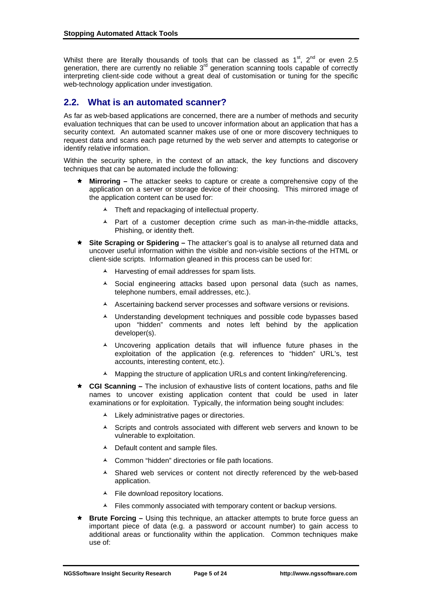Whilst there are literally thousands of tools that can be classed as  $1<sup>st</sup>$ ,  $2<sup>nd</sup>$  or even 2.5 generation, there are currently no reliable  $3<sup>rd</sup>$  generation scanning tools capable of correctly interpreting client-side code without a great deal of customisation or tuning for the specific web-technology application under investigation.

## **2.2. What is an automated scanner?**

As far as web-based applications are concerned, there are a number of methods and security evaluation techniques that can be used to uncover information about an application that has a security context. An automated scanner makes use of one or more discovery techniques to request data and scans each page returned by the web server and attempts to categorise or identify relative information.

Within the security sphere, in the context of an attack, the key functions and discovery techniques that can be automated include the following:

- **Mirroring** The attacker seeks to capture or create a comprehensive copy of the application on a server or storage device of their choosing. This mirrored image of the application content can be used for:
	- Theft and repackaging of intellectual property.
	- $\blacktriangle$  Part of a customer deception crime such as man-in-the-middle attacks, Phishing, or identity theft.
- **Site Scraping or Spidering –** The attacker's goal is to analyse all returned data and uncover useful information within the visible and non-visible sections of the HTML or client-side scripts. Information gleaned in this process can be used for:
	- $\blacktriangle$  Harvesting of email addresses for spam lists.
	- $\triangle$  Social engineering attacks based upon personal data (such as names, telephone numbers, email addresses, etc.).
	- A Ascertaining backend server processes and software versions or revisions.
	- A Understanding development techniques and possible code bypasses based upon "hidden" comments and notes left behind by the application developer(s).
	- Uncovering application details that will influence future phases in the exploitation of the application (e.g. references to "hidden" URL's, test accounts, interesting content, etc.).
	- A Mapping the structure of application URLs and content linking/referencing.
- **★ CGI Scanning** The inclusion of exhaustive lists of content locations, paths and file names to uncover existing application content that could be used in later examinations or for exploitation. Typically, the information being sought includes:
	- $\lambda$  Likely administrative pages or directories.
	- A Scripts and controls associated with different web servers and known to be vulnerable to exploitation.
	- $\lambda$  Default content and sample files.
	- Common "hidden" directories or file path locations.
	- $\triangle$  Shared web services or content not directly referenced by the web-based application.
	- ▲ File download repository locations.
	- A Files commonly associated with temporary content or backup versions.
- **Brute Forcing –** Using this technique, an attacker attempts to brute force quess an important piece of data (e.g. a password or account number) to gain access to additional areas or functionality within the application. Common techniques make use of: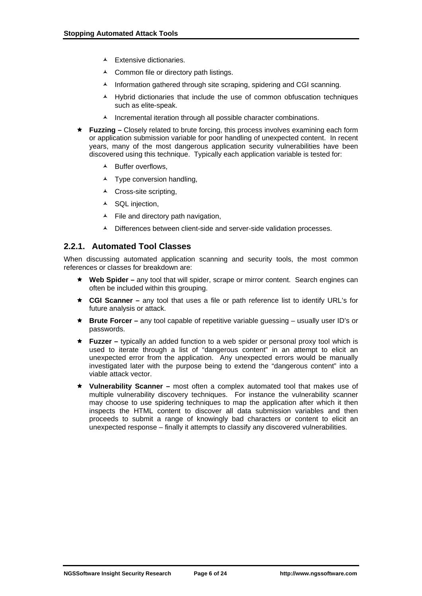- $\blacktriangle$  Extensive dictionaries.
- ▲ Common file or directory path listings.
- $\lambda$  Information gathered through site scraping, spidering and CGI scanning.
- $\overline{A}$  Hybrid dictionaries that include the use of common obfuscation techniques such as elite-speak.
- $\lambda$  Incremental iteration through all possible character combinations.
- **★ Fuzzing –** Closely related to brute forcing, this process involves examining each form or application submission variable for poor handling of unexpected content. In recent years, many of the most dangerous application security vulnerabilities have been discovered using this technique. Typically each application variable is tested for:
	- Buffer overflows,
	- $\lambda$  Type conversion handling.
	- $\triangle$  Cross-site scripting,
	- ▲ SQL injection,
	- $\blacktriangle$  File and directory path navigation,
	- A Differences between client-side and server-side validation processes.

## **2.2.1. Automated Tool Classes**

When discussing automated application scanning and security tools, the most common references or classes for breakdown are:

- **★ Web Spider** any tool that will spider, scrape or mirror content. Search engines can often be included within this grouping.
- **★ CGI Scanner** any tool that uses a file or path reference list to identify URL's for future analysis or attack.
- **★ Brute Forcer** any tool capable of repetitive variable guessing usually user ID's or passwords.
- **Fuzzer** typically an added function to a web spider or personal proxy tool which is used to iterate through a list of "dangerous content" in an attempt to elicit an unexpected error from the application. Any unexpected errors would be manually investigated later with the purpose being to extend the "dangerous content" into a viable attack vector.
- **★ Vulnerability Scanner** most often a complex automated tool that makes use of multiple vulnerability discovery techniques. For instance the vulnerability scanner may choose to use spidering techniques to map the application after which it then inspects the HTML content to discover all data submission variables and then proceeds to submit a range of knowingly bad characters or content to elicit an unexpected response – finally it attempts to classify any discovered vulnerabilities.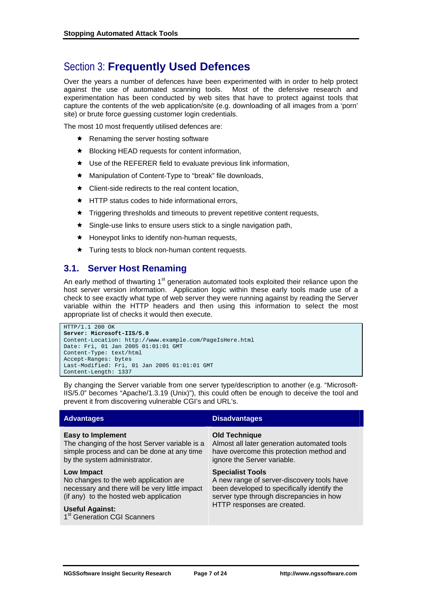## Section 3: **Frequently Used Defences**

Over the years a number of defences have been experimented with in order to help protect against the use of automated scanning tools. Most of the defensive research and experimentation has been conducted by web sites that have to protect against tools that capture the contents of the web application/site (e.g. downloading of all images from a 'porn' site) or brute force guessing customer login credentials.

The most 10 most frequently utilised defences are:

- $\star$  Renaming the server hosting software
- $\star$  Blocking HEAD requests for content information,
- $\star$  Use of the REFERER field to evaluate previous link information,
- ★ Manipulation of Content-Type to "break" file downloads,
- $\star$  Client-side redirects to the real content location.
- $\star$  HTTP status codes to hide informational errors.
- $\star$  Triggering thresholds and timeouts to prevent repetitive content requests,
- $\star$  Single-use links to ensure users stick to a single navigation path,
- $\star$  Honeypot links to identify non-human requests,
- $\star$  Turing tests to block non-human content requests.

## **3.1. Server Host Renaming**

An early method of thwarting  $1<sup>st</sup>$  generation automated tools exploited their reliance upon the host server version information. Application logic within these early tools made use of a check to see exactly what type of web server they were running against by reading the Server variable within the HTTP headers and then using this information to select the most appropriate list of checks it would then execute.

```
HTTP/1.1 200 OK 
Server: Microsoft-IIS/5.0 
Content-Location: http://www.example.com/PageIsHere.html 
Date: Fri, 01 Jan 2005 01:01:01 GMT 
Content-Type: text/html 
Accept-Ranges: bytes 
Last-Modified: Fri, 01 Jan 2005 01:01:01 GMT 
Content-Length: 1337
```
By changing the Server variable from one server type/description to another (e.g. "Microsoft-IIS/5.0" becomes "Apache/1.3.19 (Unix)"), this could often be enough to deceive the tool and prevent it from discovering vulnerable CGI's and URL's.

| <b>Advantages</b>                              | <b>Disadvantages</b>                        |
|------------------------------------------------|---------------------------------------------|
| <b>Easy to Implement</b>                       | <b>Old Technique</b>                        |
| The changing of the host Server variable is a  | Almost all later generation automated tools |
| simple process and can be done at any time     | have overcome this protection method and    |
| by the system administrator.                   | ignore the Server variable.                 |
| <b>Low Impact</b>                              | <b>Specialist Tools</b>                     |
| No changes to the web application are          | A new range of server-discovery tools have  |
| necessary and there will be very little impact | been developed to specifically identify the |
| (if any) to the hosted web application         | server type through discrepancies in how    |
| <b>Useful Against:</b>                         | HTTP responses are created.                 |
| 1 <sup>st</sup> Generation CGI Scanners        |                                             |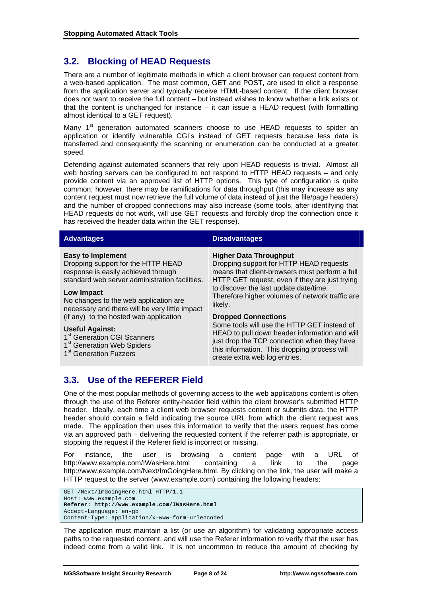## **3.2. Blocking of HEAD Requests**

There are a number of legitimate methods in which a client browser can request content from a web-based application. The most common, GET and POST, are used to elicit a response from the application server and typically receive HTML-based content. If the client browser does not want to receive the full content – but instead wishes to know whether a link exists or that the content is unchanged for instance – it can issue a HEAD request (with formatting almost identical to a GET request).

Many  $1<sup>st</sup>$  generation automated scanners choose to use HEAD requests to spider an application or identify vulnerable CGI's instead of GET requests because less data is transferred and consequently the scanning or enumeration can be conducted at a greater speed.

Defending against automated scanners that rely upon HEAD requests is trivial. Almost all web hosting servers can be configured to not respond to HTTP HEAD requests – and only provide content via an approved list of HTTP options. This type of configuration is quite common; however, there may be ramifications for data throughput (this may increase as any content request must now retrieve the full volume of data instead of just the file/page headers) and the number of dropped connections may also increase (some tools, after identifying that HEAD requests do not work, will use GET requests and forcibly drop the connection once it has received the header data within the GET response).

| <b>Advantages</b>                                                                                                                                                                                                                                                | <b>Disadvantages</b>                                                                                                                                                                                                                                                                 |  |  |  |  |
|------------------------------------------------------------------------------------------------------------------------------------------------------------------------------------------------------------------------------------------------------------------|--------------------------------------------------------------------------------------------------------------------------------------------------------------------------------------------------------------------------------------------------------------------------------------|--|--|--|--|
| <b>Easy to Implement</b><br>Dropping support for the HTTP HEAD<br>response is easily achieved through<br>standard web server administration facilities.<br>Low Impact<br>No changes to the web application are<br>necessary and there will be very little impact | <b>Higher Data Throughput</b><br>Dropping support for HTTP HEAD requests<br>means that client-browsers must perform a full<br>HTTP GET request, even if they are just trying<br>to discover the last update date/time.<br>Therefore higher volumes of network traffic are<br>likely. |  |  |  |  |
| (if any) to the hosted web application<br><b>Useful Against:</b>                                                                                                                                                                                                 | <b>Dropped Connections</b><br>Some tools will use the HTTP GET instead of                                                                                                                                                                                                            |  |  |  |  |
| 1 <sup>st</sup> Generation CGI Scanners<br>1 <sup>st</sup> Generation Web Spiders<br>1 <sup>st</sup> Generation Fuzzers                                                                                                                                          | HEAD to pull down header information and will<br>just drop the TCP connection when they have<br>this information. This dropping process will<br>create extra web log entries.                                                                                                        |  |  |  |  |
|                                                                                                                                                                                                                                                                  |                                                                                                                                                                                                                                                                                      |  |  |  |  |

## **3.3. Use of the REFERER Field**

#### One of the most popular methods of governing access to the web applications content is often through the use of the Referer entity-header field within the client browser's submitted HTTP header. Ideally, each time a client web browser requests content or submits data, the HTTP header should contain a field indicating the source URL from which the client request was made. The application then uses this information to verify that the users request has come via an approved path – delivering the requested content if the referrer path is appropriate, or stopping the request if the Referer field is incorrect or missing.

For instance, the user is browsing a content page with a URL of http://www.example.com/IWasHere.html containing a link to the page http://www.example.com/Next/ImGoingHere.html. By clicking on the link, the user will make a HTTP request to the server (www.example.com) containing the following headers:

GET /Next/ImGoingHere.html HTTP/1.1 Host: www.example.com **Referer: http://www.example.com/IWasHere.html**  Accept-Language: en-gb Content-Type: application/x-www-form-urlencoded

The application must maintain a list (or use an algorithm) for validating appropriate access paths to the requested content, and will use the Referer information to verify that the user has indeed come from a valid link. It is not uncommon to reduce the amount of checking by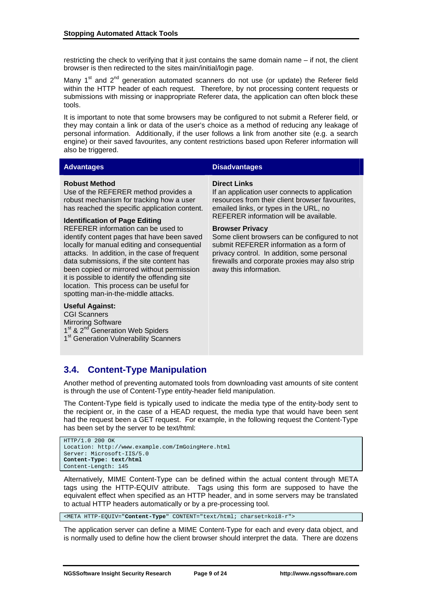restricting the check to verifying that it just contains the same domain name – if not, the client browser is then redirected to the sites main/initial/login page.

Many  $1<sup>st</sup>$  and  $2<sup>nd</sup>$  generation automated scanners do not use (or update) the Referer field within the HTTP header of each request. Therefore, by not processing content requests or submissions with missing or inappropriate Referer data, the application can often block these tools.

It is important to note that some browsers may be configured to not submit a Referer field, or they may contain a link or data of the user's choice as a method of reducing any leakage of personal information. Additionally, if the user follows a link from another site (e.g. a search engine) or their saved favourites, any content restrictions based upon Referer information will also be triggered.

#### **Advantages Disadvantages**

#### **Robust Method**

Use of the REFERER method provides a robust mechanism for tracking how a user has reached the specific application content.

#### **Identification of Page Editing**

REFERER information can be used to identify content pages that have been saved locally for manual editing and consequential attacks. In addition, in the case of frequent data submissions, if the site content has been copied or mirrored without permission it is possible to identify the offending site location. This process can be useful for spotting man-in-the-middle attacks.

### **Useful Against:**

CGI Scanners Mirroring Software 1<sup>st</sup> & 2<sup>nd</sup> Generation Web Spiders 1<sup>st</sup> Generation Vulnerability Scanners

#### **Direct Links**

If an application user connects to application resources from their client browser favourites, emailed links, or types in the URL, no REFERER information will be available.

#### **Browser Privacy**

Some client browsers can be configured to not submit REFERER information as a form of privacy control. In addition, some personal firewalls and corporate proxies may also strip away this information.

## **3.4. Content-Type Manipulation**

Another method of preventing automated tools from downloading vast amounts of site content is through the use of Content-Type entity-header field manipulation.

The Content-Type field is typically used to indicate the media type of the entity-body sent to the recipient or, in the case of a HEAD request, the media type that would have been sent had the request been a GET request. For example, in the following request the Content-Type has been set by the server to be text/html:

```
HTTP/1.0 200 OK 
Location: http://www.example.com/ImGoingHere.html 
Server: Microsoft-IIS/5.0
Content-Type: text/html 
Content-Length: 145
```
Alternatively, MIME Content-Type can be defined within the actual content through META tags using the HTTP-EQUIV attribute. Tags using this form are supposed to have the equivalent effect when specified as an HTTP header, and in some servers may be translated to actual HTTP headers automatically or by a pre-processing tool.

<META HTTP-EQUIV="**Content-Type**" CONTENT="text/html; charset=koi8-r">

The application server can define a MIME Content-Type for each and every data object, and is normally used to define how the client browser should interpret the data. There are dozens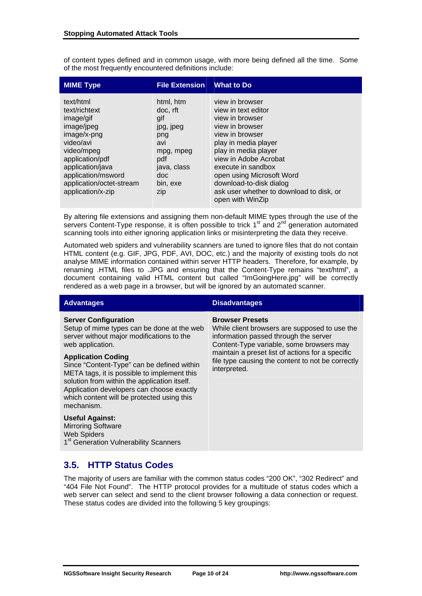of content types defined and in common usage, with more being defined all the time. Some of the most frequently encountered definitions include:

| <b>MIME Type</b>                                                                                                                                                                                              | <b>File Extension</b>                                                                                                 | <b>What to Do</b>                                                                                                                                                                                                                                                                                                      |
|---------------------------------------------------------------------------------------------------------------------------------------------------------------------------------------------------------------|-----------------------------------------------------------------------------------------------------------------------|------------------------------------------------------------------------------------------------------------------------------------------------------------------------------------------------------------------------------------------------------------------------------------------------------------------------|
| text/html<br>text/richtext<br>image/gif<br>image/jpeg<br>image/x-png<br>video/avi<br>video/mpeg<br>application/pdf<br>application/java<br>application/msword<br>application/octet-stream<br>application/x-zip | html, htm<br>doc. rft<br>gif<br>jpg, jpeg<br>png<br>avi<br>mpg, mpeg<br>pdf<br>java, class<br>doc.<br>bin, exe<br>zip | view in browser<br>view in text editor<br>view in browser<br>view in browser<br>view in browser<br>play in media player<br>play in media player<br>view in Adobe Acrobat<br>execute in sandbox<br>open using Microsoft Word<br>download-to-disk dialog<br>ask user whether to download to disk, or<br>open with WinZip |

By altering file extensions and assigning them non-default MIME types through the use of the servers Content-Type response, it is often possible to trick  $1<sup>st</sup>$  and  $2<sup>nd</sup>$  generation automated scanning tools into either ignoring application links or misinterpreting the data they receive.

Automated web spiders and vulnerability scanners are tuned to ignore files that do not contain HTML content (e.g. GIF, JPG, PDF, AVI, DOC, etc.) and the majority of existing tools do not analyse MIME information contained within server HTTP headers. Therefore, for example, by renaming .HTML files to .JPG and ensuring that the Content-Type remains "text/html", a document containing valid HTML content but called "ImGoingHere.jpg" will be correctly rendered as a web page in a browser, but will be ignored by an automated scanner.

### **Advantages Disadvantages**

#### **Server Configuration**

Setup of mime types can be done at the web server without major modifications to the web application.

#### **Application Coding**

Since "Content-Type" can be defined within META tags, it is possible to implement this solution from within the application itself. Application developers can choose exactly which content will be protected using this mechanism.

#### **Useful Against:**

Mirroring Software Web Spiders 1<sup>st</sup> Generation Vulnerability Scanners

#### **Browser Presets**

While client browsers are supposed to use the information passed through the server Content-Type variable, some browsers may maintain a preset list of actions for a specific file type causing the content to not be correctly interpreted.

## **3.5. HTTP Status Codes**

The majority of users are familiar with the common status codes "200 OK", "302 Redirect" and "404 File Not Found". The HTTP protocol provides for a multitude of status codes which a web server can select and send to the client browser following a data connection or request. These status codes are divided into the following 5 key groupings: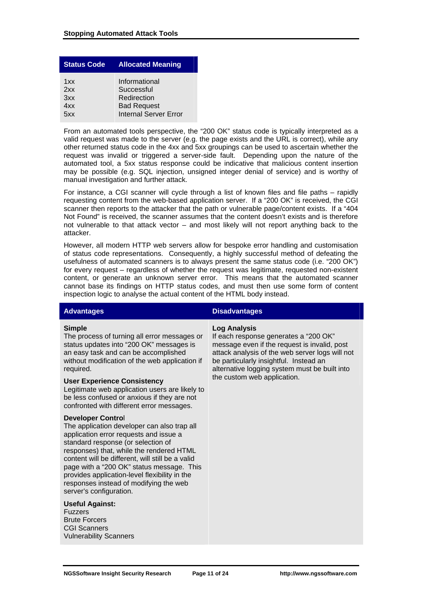| <b>Status Code</b> | <b>Allocated Meaning</b>     |
|--------------------|------------------------------|
| 1xx                | Informational                |
| 2xx                | Successful                   |
| 3xx                | Redirection                  |
| 4xx                | <b>Bad Request</b>           |
| 5xx                | <b>Internal Server Error</b> |

From an automated tools perspective, the "200 OK" status code is typically interpreted as a valid request was made to the server (e.g. the page exists and the URL is correct), while any other returned status code in the 4xx and 5xx groupings can be used to ascertain whether the request was invalid or triggered a server-side fault. Depending upon the nature of the automated tool, a 5xx status response could be indicative that malicious content insertion may be possible (e.g. SQL injection, unsigned integer denial of service) and is worthy of manual investigation and further attack.

For instance, a CGI scanner will cycle through a list of known files and file paths – rapidly requesting content from the web-based application server. If a "200 OK" is received, the CGI scanner then reports to the attacker that the path or vulnerable page/content exists. If a "404 Not Found" is received, the scanner assumes that the content doesn't exists and is therefore not vulnerable to that attack vector – and most likely will not report anything back to the attacker.

However, all modern HTTP web servers allow for bespoke error handling and customisation of status code representations. Consequently, a highly successful method of defeating the usefulness of automated scanners is to always present the same status code (i.e. "200 OK") for every request – regardless of whether the request was legitimate, requested non-existent content, or generate an unknown server error. This means that the automated scanner cannot base its findings on HTTP status codes, and must then use some form of content inspection logic to analyse the actual content of the HTML body instead.

#### **Simple**

The process of turning all error messages or status updates into "200 OK" messages is an easy task and can be accomplished without modification of the web application if required.

#### **User Experience Consistency**

Legitimate web application users are likely to be less confused or anxious if they are not confronted with different error messages.

#### **Developer Contro**l

The application developer can also trap all application error requests and issue a standard response (or selection of responses) that, while the rendered HTML content will be different, will still be a valid page with a "200 OK" status message. This provides application-level flexibility in the responses instead of modifying the web server's configuration.

#### **Useful Against:**

Fuzzers Brute Forcers CGI Scanners Vulnerability Scanners

#### **Advantages Contract Contract Contract Contract Contract Contract Contract Contract Contract Contract Contract Contract Contract Contract Contract Contract Contract Contract Contract Contract Contract Contract Contract Con**

### **Log Analysis**

If each response generates a "200 OK" message even if the request is invalid, post attack analysis of the web server logs will not be particularly insightful. Instead an alternative logging system must be built into the custom web application.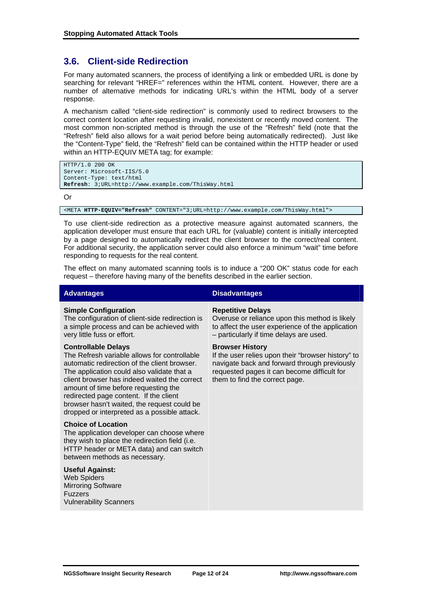## **3.6. Client-side Redirection**

For many automated scanners, the process of identifying a link or embedded URL is done by searching for relevant "HREF=" references within the HTML content. However, there are a number of alternative methods for indicating URL's within the HTML body of a server response.

A mechanism called "client-side redirection" is commonly used to redirect browsers to the correct content location after requesting invalid, nonexistent or recently moved content. The most common non-scripted method is through the use of the "Refresh" field (note that the "Refresh" field also allows for a wait period before being automatically redirected). Just like the "Content-Type" field, the "Refresh" field can be contained within the HTTP header or used within an HTTP-EQUIV META tag; for example:

```
HTTP/1.0 200 OK 
Server: Microsoft-IIS/5.0 
Content-Type: text/html 
Refresh: 3;URL=http://www.example.com/ThisWay.html
```
Or

<META **HTTP-EQUIV="Refresh"** CONTENT="3;URL=http://www.example.com/ThisWay.html">

To use client-side redirection as a protective measure against automated scanners, the application developer must ensure that each URL for (valuable) content is initially intercepted by a page designed to automatically redirect the client browser to the correct/real content. For additional security, the application server could also enforce a minimum "wait" time before responding to requests for the real content.

The effect on many automated scanning tools is to induce a "200 OK" status code for each request – therefore having many of the benefits described in the earlier section.

#### **Simple Configuration**

The configuration of client-side redirection is a simple process and can be achieved with very little fuss or effort.

#### **Controllable Delays**

The Refresh variable allows for controllable automatic redirection of the client browser. The application could also validate that a client browser has indeed waited the correct amount of time before requesting the redirected page content. If the client browser hasn't waited, the request could be dropped or interpreted as a possible attack.

#### **Choice of Location**

The application developer can choose where they wish to place the redirection field (i.e. HTTP header or META data) and can switch between methods as necessary.

### **Useful Against:**

Web Spiders Mirroring Software Fuzzers Vulnerability Scanners

### **Advantages Disadvantages**

#### **Repetitive Delays**

Overuse or reliance upon this method is likely to affect the user experience of the application – particularly if time delays are used.

#### **Browser History**

If the user relies upon their "browser history" to navigate back and forward through previously requested pages it can become difficult for them to find the correct page.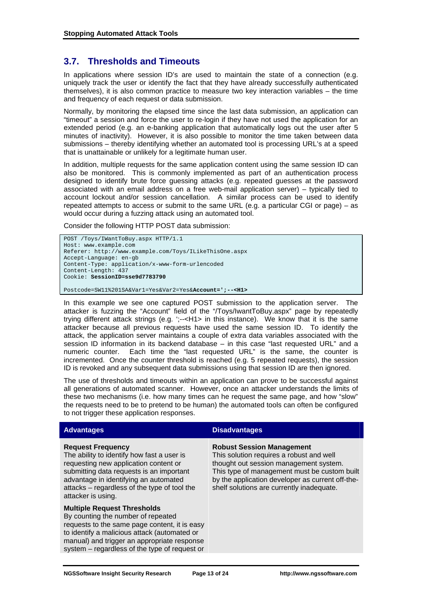## **3.7. Thresholds and Timeouts**

In applications where session ID's are used to maintain the state of a connection (e.g. uniquely track the user or identify the fact that they have already successfully authenticated themselves), it is also common practice to measure two key interaction variables – the time and frequency of each request or data submission.

Normally, by monitoring the elapsed time since the last data submission, an application can "timeout" a session and force the user to re-login if they have not used the application for an extended period (e.g. an e-banking application that automatically logs out the user after 5 minutes of inactivity). However, it is also possible to monitor the time taken between data submissions – thereby identifying whether an automated tool is processing URL's at a speed that is unattainable or unlikely for a legitimate human user.

In addition, multiple requests for the same application content using the same session ID can also be monitored. This is commonly implemented as part of an authentication process designed to identify brute force guessing attacks (e.g. repeated guesses at the password associated with an email address on a free web-mail application server) – typically tied to account lockout and/or session cancellation. A similar process can be used to identify repeated attempts to access or submit to the same URL (e.g. a particular CGI or page) – as would occur during a fuzzing attack using an automated tool.

Consider the following HTTP POST data submission:

```
POST /Toys/IWantToBuy.aspx HTTP/1.1 
Host: www.example.com 
Referer: http://www.example.com/Toys/ILikeThisOne.aspx 
Accept-Language: en-gb 
Content-Type: application/x-www-form-urlencoded 
Content-Length: 437 
Cookie: SessionID=sse9d7783790
Postcode=SW11%201SA&Var1=Yes&Var2=Yes&Account=';--<H1>
```
In this example we see one captured POST submission to the application server. The attacker is fuzzing the "Account" field of the "/Toys/IwantToBuy.aspx" page by repeatedly trying different attack strings (e.g. ';--<H1> in this instance). We know that it is the same attacker because all previous requests have used the same session ID. To identify the attack, the application server maintains a couple of extra data variables associated with the session ID information in its backend database – in this case "last requested URL" and a numeric counter. Each time the "last requested URL" is the same, the counter is incremented. Once the counter threshold is reached (e.g. 5 repeated requests), the session ID is revoked and any subsequent data submissions using that session ID are then ignored.

The use of thresholds and timeouts within an application can prove to be successful against all generations of automated scanner. However, once an attacker understands the limits of these two mechanisms (i.e. how many times can he request the same page, and how "slow" the requests need to be to pretend to be human) the automated tools can often be configured to not trigger these application responses.

| <b>Advantages</b>                                                                                                                                                                                                                                                          | <b>Disadvantages</b>                                                                                                                                                                                                                                                    |  |  |  |
|----------------------------------------------------------------------------------------------------------------------------------------------------------------------------------------------------------------------------------------------------------------------------|-------------------------------------------------------------------------------------------------------------------------------------------------------------------------------------------------------------------------------------------------------------------------|--|--|--|
| <b>Request Frequency</b><br>The ability to identify how fast a user is<br>requesting new application content or<br>submitting data requests is an important<br>advantage in identifying an automated<br>attacks – regardless of the type of tool the<br>attacker is using. | <b>Robust Session Management</b><br>This solution requires a robust and well<br>thought out session management system.<br>This type of management must be custom built<br>by the application developer as current off-the-<br>shelf solutions are currently inadequate. |  |  |  |
| <b>Multiple Request Thresholds</b><br>By counting the number of repeated<br>requests to the same page content, it is easy<br>to identify a malicious attack (automated or<br>manual) and trigger an appropriate response                                                   |                                                                                                                                                                                                                                                                         |  |  |  |

system – regardless of the type of request or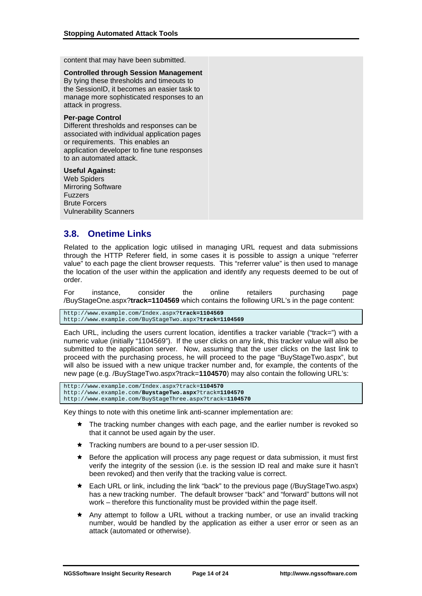content that may have been submitted.

**Controlled through Session Management** By tying these thresholds and timeouts to the SessionID, it becomes an easier task to manage more sophisticated responses to an attack in progress.

#### **Per-page Control**

Different thresholds and responses can be associated with individual application pages or requirements. This enables an application developer to fine tune responses to an automated attack.

#### **Useful Against:**

Web Spiders Mirroring Software Fuzzers Brute Forcers Vulnerability Scanners

## **3.8. Onetime Links**

Related to the application logic utilised in managing URL request and data submissions through the HTTP Referer field, in some cases it is possible to assign a unique "referrer value" to each page the client browser requests. This "referrer value" is then used to manage the location of the user within the application and identify any requests deemed to be out of order.

For instance, consider the online retailers purchasing page /BuyStageOne.aspx?**track=1104569** which contains the following URL's in the page content:

http://www.example.com/Index.aspx?**track=1104569** http://www.example.com/BuyStageTwo.aspx?**track=1104569**

Each URL, including the users current location, identifies a tracker variable ("track=") with a numeric value (initially "1104569"). If the user clicks on any link, this tracker value will also be submitted to the application server. Now, assuming that the user clicks on the last link to proceed with the purchasing process, he will proceed to the page "BuyStageTwo.aspx", but will also be issued with a new unique tracker number and, for example, the contents of the new page (e.g. /BuyStageTwo.aspx?track=**1104570**) may also contain the following URL's:

```
http://www.example.com/Index.aspx?track=1104570 
http://www.example.com/BuystageTwo.aspx?track=1104570
http://www.example.com/BuyStageThree.aspx?track=1104570
```
Key things to note with this onetime link anti-scanner implementation are:

- $\star$  The tracking number changes with each page, and the earlier number is revoked so that it cannot be used again by the user.
- $\star$  Tracking numbers are bound to a per-user session ID.
- $\star$  Before the application will process any page request or data submission, it must first verify the integrity of the session (i.e. is the session ID real and make sure it hasn't been revoked) and then verify that the tracking value is correct.
- Each URL or link, including the link "back" to the previous page (/BuyStageTwo.aspx) has a new tracking number. The default browser "back" and "forward" buttons will not work – therefore this functionality must be provided within the page itself.
- Any attempt to follow a URL without a tracking number, or use an invalid tracking number, would be handled by the application as either a user error or seen as an attack (automated or otherwise).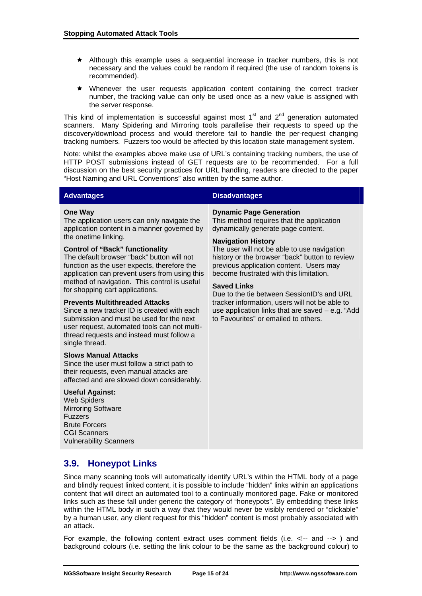- $\star$  Although this example uses a sequential increase in tracker numbers, this is not necessary and the values could be random if required (the use of random tokens is recommended).
- $\star$  Whenever the user requests application content containing the correct tracker number, the tracking value can only be used once as a new value is assigned with the server response.

This kind of implementation is successful against most  $1<sup>st</sup>$  and  $2<sup>nd</sup>$  generation automated scanners. Many Spidering and Mirroring tools parallelise their requests to speed up the discovery/download process and would therefore fail to handle the per-request changing tracking numbers. Fuzzers too would be affected by this location state management system.

Note: whilst the examples above make use of URL's containing tracking numbers, the use of HTTP POST submissions instead of GET requests are to be recommended. For a full discussion on the best security practices for URL handling, readers are directed to the paper "Host Naming and URL Conventions" also written by the same author.

### **Advantages Contract Contract Contract Contract Contract Contract Contract Contract Contract Contract Contract Contract Contract Contract Contract Contract Contract Contract Contract Contract Contract Contract Contract Con**

#### **One Way**

The application users can only navigate the application content in a manner governed by the onetime linking.

#### **Control of "Back" functionality**

The default browser "back" button will not function as the user expects, therefore the application can prevent users from using this method of navigation. This control is useful for shopping cart applications.

#### **Prevents Multithreaded Attacks**

Since a new tracker ID is created with each submission and must be used for the next user request, automated tools can not multithread requests and instead must follow a single thread.

#### **Slows Manual Attacks**

Since the user must follow a strict path to their requests, even manual attacks are affected and are slowed down considerably.

### **Useful Against:**

Web Spiders Mirroring Software Fuzzers Brute Forcers CGI Scanners Vulnerability Scanners

**Dynamic Page Generation** This method requires that the application dynamically generate page content.

#### **Navigation History**

The user will not be able to use navigation history or the browser "back" button to review previous application content. Users may become frustrated with this limitation.

#### **Saved Links**

Due to the tie between SessionID's and URL tracker information, users will not be able to use application links that are saved – e.g. "Add to Favourites" or emailed to others.

## **3.9. Honeypot Links**

Since many scanning tools will automatically identify URL's within the HTML body of a page and blindly request linked content, it is possible to include "hidden" links within an applications content that will direct an automated tool to a continually monitored page. Fake or monitored links such as these fall under generic the category of "honeypots". By embedding these links within the HTML body in such a way that they would never be visibly rendered or "clickable" by a human user, any client request for this "hidden" content is most probably associated with an attack.

For example, the following content extract uses comment fields (i.e. <!-- and -->) and background colours (i.e. setting the link colour to be the same as the background colour) to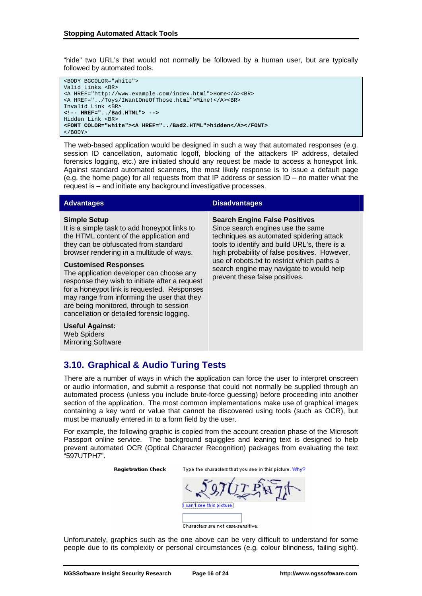"hide" two URL's that would not normally be followed by a human user, but are typically followed by automated tools.

| <body bgcolor="white"></body>                              |
|------------------------------------------------------------|
| Valid Links<br>                                            |
| <a href="http://www.example.com/index.html">Home</a><br>   |
| <a href="/Toys/IWantOneOfThose.html">Mine!</a><br>         |
| Invalid Link<br>                                           |
| $\langle$ !-- HREF="/Bad.HTML"> -->                        |
| Hidden Link<br>                                            |
| <font color="white"><a href="/Bad2.HTML">hidden</a></font> |
| $<$ /BODY>                                                 |

The web-based application would be designed in such a way that automated responses (e.g. session ID cancellation, automatic logoff, blocking of the attackers IP address, detailed forensics logging, etc.) are initiated should any request be made to access a honeypot link. Against standard automated scanners, the most likely response is to issue a default page (e.g. the home page) for all requests from that IP address or session ID – no matter what the request is – and initiate any background investigative processes.

#### **Simple Setup**

It is a simple task to add honeypot links to the HTML content of the application and they can be obfuscated from standard browser rendering in a multitude of ways.

#### **Customised Responses**

The application developer can choose any response they wish to initiate after a request for a honeypot link is requested. Responses may range from informing the user that they are being monitored, through to session cancellation or detailed forensic logging.

**Useful Against:** Web Spiders Mirroring Software

#### **Advantages Disadvantages**

**Search Engine False Positives**

Since search engines use the same techniques as automated spidering attack tools to identify and build URL's, there is a high probability of false positives. However, use of robots.txt to restrict which paths a search engine may navigate to would help prevent these false positives.

## **3.10. Graphical & Audio Turing Tests**

There are a number of ways in which the application can force the user to interpret onscreen or audio information, and submit a response that could not normally be supplied through an automated process (unless you include brute-force guessing) before proceeding into another section of the application. The most common implementations make use of graphical images containing a key word or value that cannot be discovered using tools (such as OCR), but must be manually entered in to a form field by the user.

For example, the following graphic is copied from the account creation phase of the Microsoft Passport online service. The background squiggles and leaning text is designed to help prevent automated OCR (Optical Character Recognition) packages from evaluating the text "597UTPH7".

**Registration Check** 

Type the characters that you see in this picture. Why?

can't see this picture.

Characters are not case-sensitive.

Unfortunately, graphics such as the one above can be very difficult to understand for some people due to its complexity or personal circumstances (e.g. colour blindness, failing sight).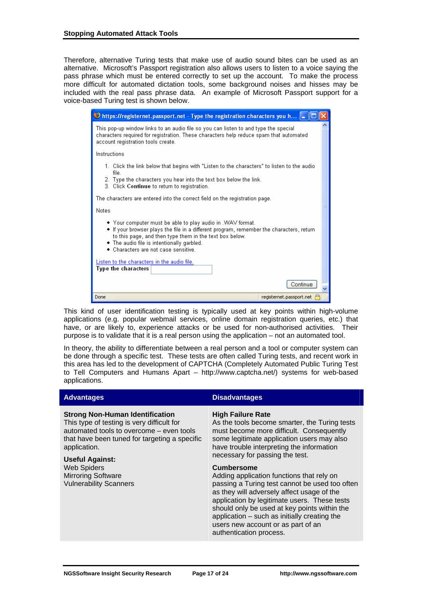Therefore, alternative Turing tests that make use of audio sound bites can be used as an alternative. Microsoft's Passport registration also allows users to listen to a voice saying the pass phrase which must be entered correctly to set up the account. To make the process more difficult for automated dictation tools, some background noises and hisses may be included with the real pass phrase data. An example of Microsoft Passport support for a voice-based Turing test is shown below.

| $\bigcirc$ https://registernet.passport.net - Type the registration characters you h                                                                                                                                                                                                                    |  |
|---------------------------------------------------------------------------------------------------------------------------------------------------------------------------------------------------------------------------------------------------------------------------------------------------------|--|
| This pop-up window links to an audio file so you can listen to and type the special<br>characters required for registration. These characters help reduce spam that automated<br>account registration tools create.                                                                                     |  |
| Instructions                                                                                                                                                                                                                                                                                            |  |
| 1. Click the link below that begins with "Listen to the characters" to listen to the audio<br>file.                                                                                                                                                                                                     |  |
| 2. Type the characters you hear into the text box below the link.<br>3. Click Continue to return to registration.                                                                                                                                                                                       |  |
| The characters are entered into the correct field on the registration page.                                                                                                                                                                                                                             |  |
| Notes                                                                                                                                                                                                                                                                                                   |  |
| ◆ Your computer must be able to play audio in .WAV format.<br>• If your browser plays the file in a different program, remember the characters, return<br>to this page, and then type them in the text box below.<br>• The audio file is intentionally garbled.<br>• Characters are not case sensitive. |  |
| Listen to the characters in the audio file.<br>Type the characters                                                                                                                                                                                                                                      |  |
| Continue                                                                                                                                                                                                                                                                                                |  |
| registernet.passport.net<br>Done                                                                                                                                                                                                                                                                        |  |

This kind of user identification testing is typically used at key points within high-volume applications (e.g. popular webmail services, online domain registration queries, etc.) that have, or are likely to, experience attacks or be used for non-authorised activities. Their purpose is to validate that it is a real person using the application – not an automated tool.

In theory, the ability to differentiate between a real person and a tool or computer system can be done through a specific test. These tests are often called Turing tests, and recent work in this area has led to the development of CAPTCHA (Completely Automated Public Turing Test to Tell Computers and Humans Apart – http://www.captcha.net/) systems for web-based applications.

| <b>Advantages</b>                                                                                                                                                                                                                                                                                        | <b>Disadvantages</b>                                                                                                                                                                                                                                                                                                                                                              |
|----------------------------------------------------------------------------------------------------------------------------------------------------------------------------------------------------------------------------------------------------------------------------------------------------------|-----------------------------------------------------------------------------------------------------------------------------------------------------------------------------------------------------------------------------------------------------------------------------------------------------------------------------------------------------------------------------------|
| <b>Strong Non-Human Identification</b><br>This type of testing is very difficult for<br>automated tools to overcome - even tools<br>that have been tuned for targeting a specific<br>application.<br>Useful Against:<br><b>Web Spiders</b><br><b>Mirroring Software</b><br><b>Vulnerability Scanners</b> | <b>High Failure Rate</b><br>As the tools become smarter, the Turing tests<br>must become more difficult. Consequently<br>some legitimate application users may also<br>have trouble interpreting the information<br>necessary for passing the test.                                                                                                                               |
|                                                                                                                                                                                                                                                                                                          | <b>Cumbersome</b><br>Adding application functions that rely on<br>passing a Turing test cannot be used too often<br>as they will adversely affect usage of the<br>application by legitimate users. These tests<br>should only be used at key points within the<br>application $-$ such as initially creating the<br>users new account or as part of an<br>authentication process. |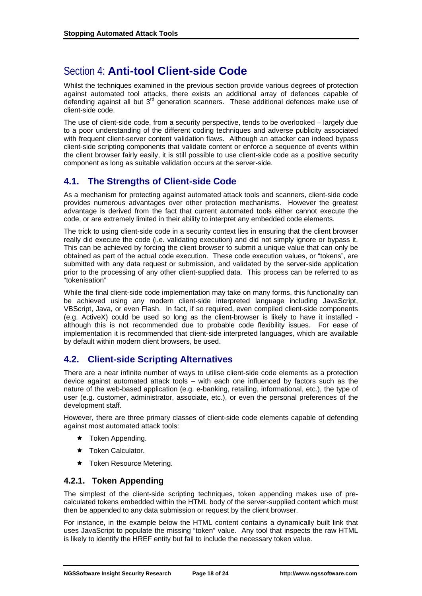## Section 4: **Anti-tool Client-side Code**

Whilst the techniques examined in the previous section provide various degrees of protection against automated tool attacks, there exists an additional array of defences capable of defending against all but  $3<sup>rd</sup>$  generation scanners. These additional defences make use of client-side code.

The use of client-side code, from a security perspective, tends to be overlooked – largely due to a poor understanding of the different coding techniques and adverse publicity associated with frequent client-server content validation flaws. Although an attacker can indeed bypass client-side scripting components that validate content or enforce a sequence of events within the client browser fairly easily, it is still possible to use client-side code as a positive security component as long as suitable validation occurs at the server-side.

## **4.1. The Strengths of Client-side Code**

As a mechanism for protecting against automated attack tools and scanners, client-side code provides numerous advantages over other protection mechanisms. However the greatest advantage is derived from the fact that current automated tools either cannot execute the code, or are extremely limited in their ability to interpret any embedded code elements.

The trick to using client-side code in a security context lies in ensuring that the client browser really did execute the code (i.e. validating execution) and did not simply ignore or bypass it. This can be achieved by forcing the client browser to submit a unique value that can only be obtained as part of the actual code execution. These code execution values, or "tokens", are submitted with any data request or submission, and validated by the server-side application prior to the processing of any other client-supplied data. This process can be referred to as "tokenisation"

While the final client-side code implementation may take on many forms, this functionality can be achieved using any modern client-side interpreted language including JavaScript, VBScript, Java, or even Flash. In fact, if so required, even compiled client-side components (e.g. ActiveX) could be used so long as the client-browser is likely to have it installed although this is not recommended due to probable code flexibility issues. For ease of implementation it is recommended that client-side interpreted languages, which are available by default within modern client browsers, be used.

## **4.2. Client-side Scripting Alternatives**

There are a near infinite number of ways to utilise client-side code elements as a protection device against automated attack tools – with each one influenced by factors such as the nature of the web-based application (e.g. e-banking, retailing, informational, etc.), the type of user (e.g. customer, administrator, associate, etc.), or even the personal preferences of the development staff.

However, there are three primary classes of client-side code elements capable of defending against most automated attack tools:

- $\star$  Token Appending.
- $\star$  Token Calculator.
- $\star$  Token Resource Metering.

## **4.2.1. Token Appending**

The simplest of the client-side scripting techniques, token appending makes use of precalculated tokens embedded within the HTML body of the server-supplied content which must then be appended to any data submission or request by the client browser.

For instance, in the example below the HTML content contains a dynamically built link that uses JavaScript to populate the missing "token" value. Any tool that inspects the raw HTML is likely to identify the HREF entity but fail to include the necessary token value.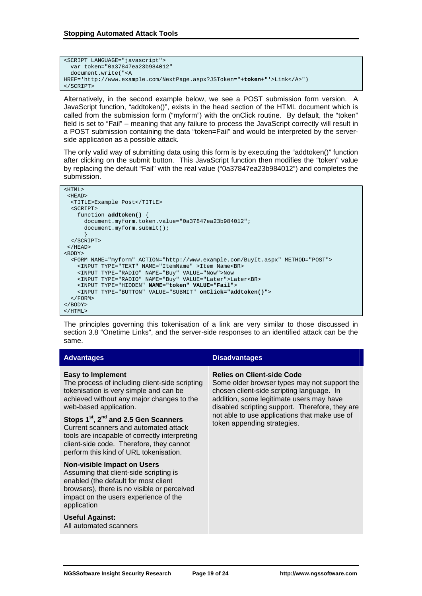```
<SCRIPT LANGUAGE="javascript"> 
  var token="0a37847ea23b984012" 
  document.write("<A 
HREF='http://www.example.com/NextPage.aspx?JSToken="+token+"'>Link</A>") 
</SCRIPT>
```
Alternatively, in the second example below, we see a POST submission form version. A JavaScript function, "addtoken()", exists in the head section of the HTML document which is called from the submission form ("myform") with the onClick routine. By default, the "token" field is set to "Fail" – meaning that any failure to process the JavaScript correctly will result in a POST submission containing the data "token=Fail" and would be interpreted by the serverside application as a possible attack.

The only valid way of submitting data using this form is by executing the "addtoken()" function after clicking on the submit button. This JavaScript function then modifies the "token" value by replacing the default "Fail" with the real value ("0a37847ea23b984012") and completes the submission.

```
<HTML> 
  <HEAD> 
   <TITLE>Example Post</TITLE> 
   <SCRIPT> 
     function addtoken() { 
       document.myform.token.value="0a37847ea23b984012"; 
      document.myform.submit();
 } 
   </SCRIPT> 
  </HEAD> 
<BODY> 
   <FORM NAME="myform" ACTION="http://www.example.com/BuyIt.aspx" METHOD="POST"> 
     <INPUT TYPE="TEXT" NAME="ItemName" >Item Name<BR> 
     <INPUT TYPE="RADIO" NAME="Buy" VALUE="Now">Now 
     <INPUT TYPE="RADIO" NAME="Buy" VALUE="Later">Later<BR> 
     <INPUT TYPE="HIDDEN" NAME="token" VALUE="Fail"> 
     <INPUT TYPE="BUTTON" VALUE="SUBMIT" onClick="addtoken()"> 
   </FORM> 
</BODY> 
</HTML>
```
The principles governing this tokenisation of a link are very similar to those discussed in section 3.8 "Onetime Links", and the server-side responses to an identified attack can be the same.

| <b>Advantages</b>                                                                                                                                                                                                                            | <b>Disadvantages</b>                                                                                                                                                                                                          |  |  |  |
|----------------------------------------------------------------------------------------------------------------------------------------------------------------------------------------------------------------------------------------------|-------------------------------------------------------------------------------------------------------------------------------------------------------------------------------------------------------------------------------|--|--|--|
| <b>Easy to Implement</b><br>The process of including client-side scripting<br>tokenisation is very simple and can be<br>achieved without any major changes to the<br>web-based application.                                                  | <b>Relies on Client-side Code</b><br>Some older browser types may not support the<br>chosen client-side scripting language. In<br>addition, some legitimate users may have<br>disabled scripting support. Therefore, they are |  |  |  |
| Stops 1 <sup>st</sup> , 2 <sup>nd</sup> and 2.5 Gen Scanners<br>Current scanners and automated attack<br>tools are incapable of correctly interpreting<br>client-side code. Therefore, they cannot<br>perform this kind of URL tokenisation. | not able to use applications that make use of<br>token appending strategies.                                                                                                                                                  |  |  |  |
| <b>Non-visible Impact on Users</b><br>Assuming that client-side scripting is<br>enabled (the default for most client<br>browsers), there is no visible or perceived<br>impact on the users experience of the<br>application                  |                                                                                                                                                                                                                               |  |  |  |
| Useful Against:<br>All automated scanners                                                                                                                                                                                                    |                                                                                                                                                                                                                               |  |  |  |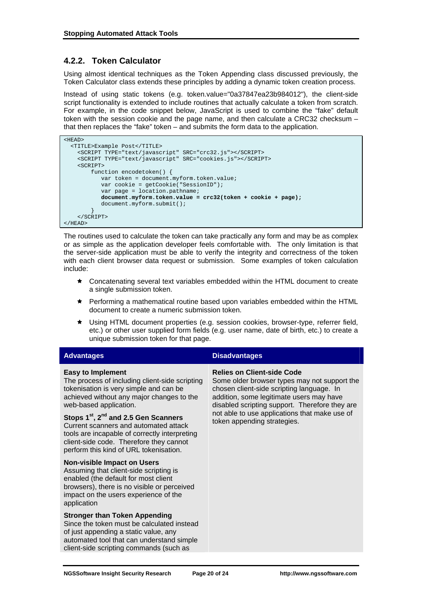## **4.2.2. Token Calculator**

Using almost identical techniques as the Token Appending class discussed previously, the Token Calculator class extends these principles by adding a dynamic token creation process.

Instead of using static tokens (e.g. token.value="0a37847ea23b984012"), the client-side script functionality is extended to include routines that actually calculate a token from scratch. For example, in the code snippet below, JavaScript is used to combine the "fake" default token with the session cookie and the page name, and then calculate a CRC32 checksum – that then replaces the "fake" token – and submits the form data to the application.

```
<HEAD> 
  <TITLE>Example Post</TITLE> 
     <SCRIPT TYPE="text/javascript" SRC="crc32.js"></SCRIPT> 
     <SCRIPT TYPE="text/javascript" SRC="cookies.js"></SCRIPT> 
     <SCRIPT> 
         function encodetoken() { 
            var token = document.myform.token.value; 
            var cookie = getCookie("SessionID"); 
            var page = location.pathname; 
            document.myform.token.value = crc32(token + cookie + page); 
           document.myform.submit();
 } 
     </SCRIPT> 
</HEAD>
```
The routines used to calculate the token can take practically any form and may be as complex or as simple as the application developer feels comfortable with. The only limitation is that the server-side application must be able to verify the integrity and correctness of the token with each client browser data request or submission. Some examples of token calculation include:

- $\star$  Concatenating several text variables embedded within the HTML document to create a single submission token.
- $\star$  Performing a mathematical routine based upon variables embedded within the HTML document to create a numeric submission token.
- Ì Using HTML document properties (e.g. session cookies, browser-type, referrer field, etc.) or other user supplied form fields (e.g. user name, date of birth, etc.) to create a unique submission token for that page.

| <b>Advantages</b>                                                                                                                                                                                                                                                                                                                                                                                                                          | <b>Disadvantages</b>                                                                                                                                                                                                                                                                                         |  |  |  |
|--------------------------------------------------------------------------------------------------------------------------------------------------------------------------------------------------------------------------------------------------------------------------------------------------------------------------------------------------------------------------------------------------------------------------------------------|--------------------------------------------------------------------------------------------------------------------------------------------------------------------------------------------------------------------------------------------------------------------------------------------------------------|--|--|--|
| <b>Easy to Implement</b><br>The process of including client-side scripting<br>tokenisation is very simple and can be<br>achieved without any major changes to the<br>web-based application.<br>Stops 1 <sup>st</sup> , 2 <sup>nd</sup> and 2.5 Gen Scanners<br>Current scanners and automated attack<br>tools are incapable of correctly interpreting<br>client-side code. Therefore they cannot<br>perform this kind of URL tokenisation. | <b>Relies on Client-side Code</b><br>Some older browser types may not support the<br>chosen client-side scripting language. In<br>addition, some legitimate users may have<br>disabled scripting support. Therefore they are<br>not able to use applications that make use of<br>token appending strategies. |  |  |  |
| <b>Non-visible Impact on Users</b><br>Assuming that client-side scripting is<br>enabled (the default for most client<br>browsers), there is no visible or perceived<br>impact on the users experience of the<br>application                                                                                                                                                                                                                |                                                                                                                                                                                                                                                                                                              |  |  |  |
| <b>Stronger than Token Appending</b><br>Since the token must be calculated instead<br>of just appending a static value, any<br>automated tool that can understand simple<br>client-side scripting commands (such as                                                                                                                                                                                                                        |                                                                                                                                                                                                                                                                                                              |  |  |  |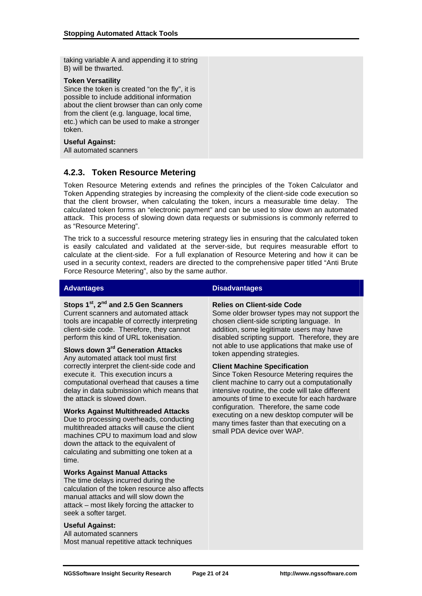taking variable A and appending it to string B) will be thwarted.

#### **Token Versatility**

Since the token is created "on the fly", it is possible to include additional information about the client browser than can only come from the client (e.g. language, local time, etc.) which can be used to make a stronger token.

#### **Useful Against:**

All automated scanners

## **4.2.3. Token Resource Metering**

Token Resource Metering extends and refines the principles of the Token Calculator and Token Appending strategies by increasing the complexity of the client-side code execution so that the client browser, when calculating the token, incurs a measurable time delay. The calculated token forms an "electronic payment" and can be used to slow down an automated attack. This process of slowing down data requests or submissions is commonly referred to as "Resource Metering".

The trick to a successful resource metering strategy lies in ensuring that the calculated token is easily calculated and validated at the server-side, but requires measurable effort to calculate at the client-side. For a full explanation of Resource Metering and how it can be used in a security context, readers are directed to the comprehensive paper titled "Anti Brute Force Resource Metering", also by the same author.

### **Stops 1st, 2nd and 2.5 Gen Scanners**

Current scanners and automated attack tools are incapable of correctly interpreting client-side code. Therefore, they cannot perform this kind of URL tokenisation.

## **Slows down 3rd Generation Attacks**

Any automated attack tool must first correctly interpret the client-side code and execute it. This execution incurs a computational overhead that causes a time delay in data submission which means that the attack is slowed down.

#### **Works Against Multithreaded Attacks**

Due to processing overheads, conducting multithreaded attacks will cause the client machines CPU to maximum load and slow down the attack to the equivalent of calculating and submitting one token at a time.

#### **Works Against Manual Attacks**

The time delays incurred during the calculation of the token resource also affects manual attacks and will slow down the attack – most likely forcing the attacker to seek a softer target.

#### **Useful Against:**

All automated scanners Most manual repetitive attack techniques

### **Advantages Contract Contract Contract Contract Contract Contract Contract Contract Contract Contract Contract Contract Contract Contract Contract Contract Contract Contract Contract Contract Contract Contract Contract Con**

#### **Relies on Client-side Code**

Some older browser types may not support the chosen client-side scripting language. In addition, some legitimate users may have disabled scripting support. Therefore, they are not able to use applications that make use of token appending strategies.

#### **Client Machine Specification**

Since Token Resource Metering requires the client machine to carry out a computationally intensive routine, the code will take different amounts of time to execute for each hardware configuration. Therefore, the same code executing on a new desktop computer will be many times faster than that executing on a small PDA device over WAP.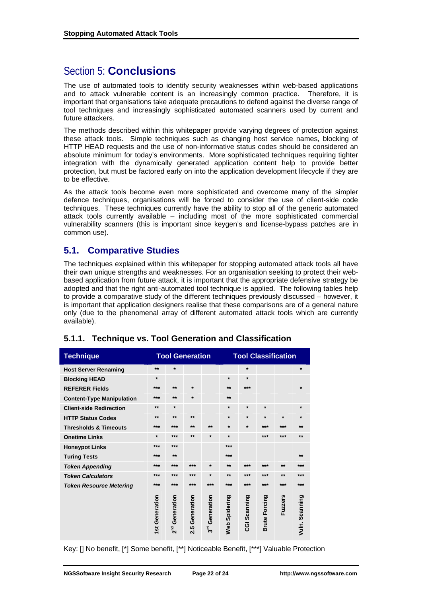## Section 5: **Conclusions**

The use of automated tools to identify security weaknesses within web-based applications and to attack vulnerable content is an increasingly common practice. Therefore, it is important that organisations take adequate precautions to defend against the diverse range of tool techniques and increasingly sophisticated automated scanners used by current and future attackers.

The methods described within this whitepaper provide varying degrees of protection against these attack tools. Simple techniques such as changing host service names, blocking of HTTP HEAD requests and the use of non-informative status codes should be considered an absolute minimum for today's environments. More sophisticated techniques requiring tighter integration with the dynamically generated application content help to provide better protection, but must be factored early on into the application development lifecycle if they are to be effective.

As the attack tools become even more sophisticated and overcome many of the simpler defence techniques, organisations will be forced to consider the use of client-side code techniques. These techniques currently have the ability to stop all of the generic automated attack tools currently available – including most of the more sophisticated commercial vulnerability scanners (this is important since keygen's and license-bypass patches are in common use).

## **5.1. Comparative Studies**

The techniques explained within this whitepaper for stopping automated attack tools all have their own unique strengths and weaknesses. For an organisation seeking to protect their webbased application from future attack, it is important that the appropriate defensive strategy be adopted and that the right anti-automated tool technique is applied. The following tables help to provide a comparative study of the different techniques previously discussed – however, it is important that application designers realise that these comparisons are of a general nature only (due to the phenomenal array of different automated attack tools which are currently available).

| <b>Technique</b>                 | <b>Tool Generation</b> |                               |                   | <b>Tool Classification</b>    |               |              |                      |                |                |
|----------------------------------|------------------------|-------------------------------|-------------------|-------------------------------|---------------|--------------|----------------------|----------------|----------------|
| <b>Host Server Renaming</b>      | $***$                  | $\star$                       |                   |                               |               | $\star$      |                      |                | $\star$        |
| <b>Blocking HEAD</b>             | $\ast$                 |                               |                   |                               | $\star$       | $\star$      |                      |                |                |
| <b>REFERER Fields</b>            | ***                    | $***$                         | $\star$           |                               | $***$         | $***$        |                      |                | $\star$        |
| <b>Content-Type Manipulation</b> | ***                    | $**$                          | $\star$           |                               | **            |              |                      |                |                |
| <b>Client-side Redirection</b>   | $***$                  | $\star$                       |                   |                               | $\star$       | $\star$      | $\star$              |                | $\star$        |
| <b>HTTP Status Codes</b>         | $***$                  | $***$                         | $**$              |                               | $\star$       | $\ast$       | $\star$              | $\star$        | $\star$        |
| <b>Thresholds &amp; Timeouts</b> | ***                    | $***$                         | $**$              | $***$                         | $\ast$        | $\ast$       | $***$                | ***            | $***$          |
| <b>Onetime Links</b>             | $\ast$                 | $***$                         | $***$             | $\ast$                        | $\star$       |              | $***$                | ***            | $***$          |
| <b>Honeypot Links</b>            | ***                    | $***$                         |                   |                               | ***           |              |                      |                |                |
| <b>Turing Tests</b>              | ***                    | $***$                         |                   |                               | ***           |              |                      |                | $***$          |
| <b>Token Appending</b>           | ***                    | $***$                         | $***$             | $\ast$                        | $**$          | ***          | ***                  | $***$          | ***            |
| <b>Token Calculators</b>         | ***                    | $***$                         | ***               | $\ast$                        | $**$          | ***          | $***$                | $**$           | ***            |
| <b>Token Resource Metering</b>   | ***                    | $***$                         | ***               | $***$                         | ***           | $***$        | $***$                | ***            | ***            |
|                                  | Generation<br>1st      | Generation<br>2 <sup>nd</sup> | Generation<br>2.5 | Generation<br>3 <sup>rd</sup> | Web Spidering | CGI Scanning | <b>Brute Forcing</b> | <b>Fuzzers</b> | Vuln. Scanning |

## **5.1.1. Technique vs. Tool Generation and Classification**

Key: [] No benefit, [\*] Some benefit, [\*\*] Noticeable Benefit, [\*\*\*] Valuable Protection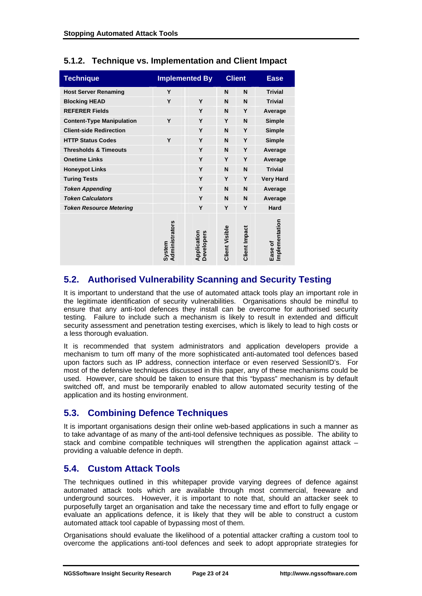| <b>Technique</b>                 | <b>Implemented By</b>    |                           | <b>Client</b>  |                      | <b>Ease</b>               |
|----------------------------------|--------------------------|---------------------------|----------------|----------------------|---------------------------|
| <b>Host Server Renaming</b>      | Y                        |                           | N              | N                    | <b>Trivial</b>            |
| <b>Blocking HEAD</b>             | Y                        | Y                         | N              | N                    | <b>Trivial</b>            |
| <b>REFERER Fields</b>            |                          | Y                         | N              | Y                    | Average                   |
| <b>Content-Type Manipulation</b> | Y                        | Y                         | Y              | N                    | <b>Simple</b>             |
| <b>Client-side Redirection</b>   |                          | Y                         | N              | Y                    | <b>Simple</b>             |
| <b>HTTP Status Codes</b>         | Y                        | Y                         | N              | Y                    | <b>Simple</b>             |
| <b>Thresholds &amp; Timeouts</b> |                          | Y                         | N              | Y                    | Average                   |
| <b>Onetime Links</b>             |                          | Y                         | Y              | Y                    | Average                   |
| <b>Honeypot Links</b>            |                          | Y                         | N              | N                    | <b>Trivial</b>            |
| <b>Turing Tests</b>              |                          | Y                         | Y              | Y                    | <b>Very Hard</b>          |
| <b>Token Appending</b>           |                          | Y                         | N              | N                    | Average                   |
| <b>Token Calculators</b>         |                          | Y                         | N              | N                    | Average                   |
| <b>Token Resource Metering</b>   |                          | Y                         | Υ              | Y                    | <b>Hard</b>               |
|                                  | Administrators<br>System | Application<br>Developers | Client Visible | <b>Client Impact</b> | Implementation<br>Ease of |

## **5.1.2. Technique vs. Implementation and Client Impact**

## **5.2. Authorised Vulnerability Scanning and Security Testing**

It is important to understand that the use of automated attack tools play an important role in the legitimate identification of security vulnerabilities. Organisations should be mindful to ensure that any anti-tool defences they install can be overcome for authorised security testing. Failure to include such a mechanism is likely to result in extended and difficult security assessment and penetration testing exercises, which is likely to lead to high costs or a less thorough evaluation.

It is recommended that system administrators and application developers provide a mechanism to turn off many of the more sophisticated anti-automated tool defences based upon factors such as IP address, connection interface or even reserved SessionID's. For most of the defensive techniques discussed in this paper, any of these mechanisms could be used. However, care should be taken to ensure that this "bypass" mechanism is by default switched off, and must be temporarily enabled to allow automated security testing of the application and its hosting environment.

## **5.3. Combining Defence Techniques**

It is important organisations design their online web-based applications in such a manner as to take advantage of as many of the anti-tool defensive techniques as possible. The ability to stack and combine compatible techniques will strengthen the application against attack – providing a valuable defence in depth.

## **5.4. Custom Attack Tools**

The techniques outlined in this whitepaper provide varying degrees of defence against automated attack tools which are available through most commercial, freeware and underground sources. However, it is important to note that, should an attacker seek to purposefully target an organisation and take the necessary time and effort to fully engage or evaluate an applications defence, it is likely that they will be able to construct a custom automated attack tool capable of bypassing most of them.

Organisations should evaluate the likelihood of a potential attacker crafting a custom tool to overcome the applications anti-tool defences and seek to adopt appropriate strategies for